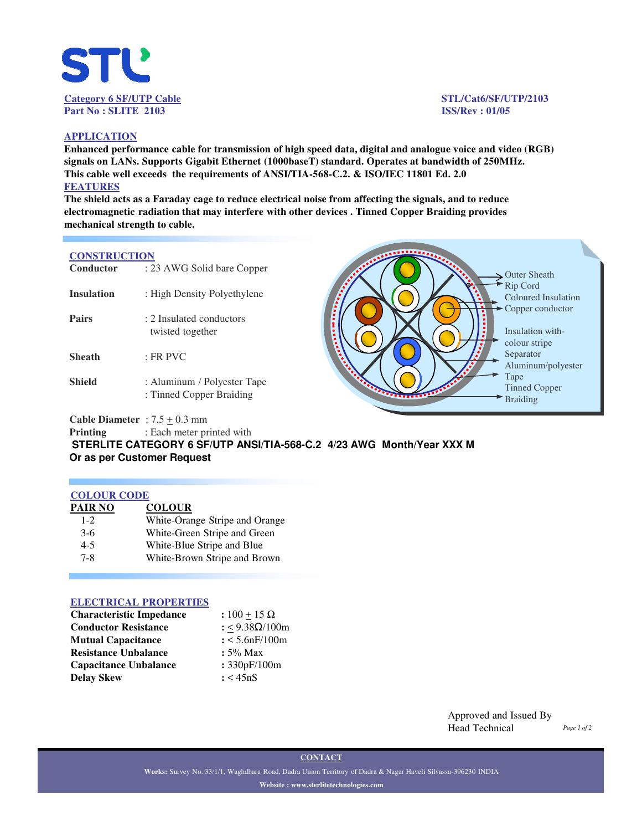

#### **APPLICATION**

**Enhanced performance cable for transmission of high speed data, digital and analogue voice and video (RGB) signals on LANs. Supports Gigabit Ethernet (1000baseT) standard. Operates at bandwidth of 250MHz. This cable well exceeds the requirements of ANSI/TIA-568-C.2. & ISO/IEC 11801 Ed. 2.0 FEATURES**

**The shield acts as a Faraday cage to reduce electrical noise from affecting the signals, and to reduce electromagnetic radiation that may interfere with other devices . Tinned Copper Braiding provides mechanical strength to cable.** 

## **CONSTRUCTION**

| Conductor         | : 23 AWG Solid bare Copper                              |  |  |  |  |
|-------------------|---------------------------------------------------------|--|--|--|--|
| <b>Insulation</b> | : High Density Polyethylene                             |  |  |  |  |
| <b>Pairs</b>      | : 2 Insulated conductors<br>twisted together            |  |  |  |  |
| Sheath            | $\cdot$ FR PVC                                          |  |  |  |  |
| Shield            | : Aluminum / Polyester Tape<br>: Tinned Copper Braiding |  |  |  |  |



**Cable Diameter** :  $7.5 \pm 0.3$  mm

**Printing** : Each meter printed with

**STERLITE CATEGORY 6 SF/UTP ANSI/TIA-568-C.2 4/23 AWG Month/Year XXX M Or as per Customer Request** 

## **COLOUR CODE**

| PAIR NO | <b>COLOUR</b>                  |
|---------|--------------------------------|
| $1-2$   | White-Orange Stripe and Orange |
| $3-6$   | White-Green Stripe and Green   |
| $4 - 5$ | White-Blue Stripe and Blue     |
| $7 - 8$ | White-Brown Stripe and Brown   |
|         |                                |

## **ELECTRICAL PROPERTIES**

| <b>Characteristic Impedance</b> | : $100 + 15 \Omega$ |
|---------------------------------|---------------------|
| <b>Conductor Resistance</b>     | : <9.38Ω/100m       |
| <b>Mutual Capacitance</b>       | : 5.6nF/100m        |
| <b>Resistance Unbalance</b>     | $: 5\%$ Max         |
| <b>Capacitance Unbalance</b>    | : 330pF/100m        |
| <b>Delay Skew</b>               | : < 45nS            |

Approved and Issued By Head Technical

**CONTACT**

**Works:** Survey No. 33/1/1, Waghdhara Road, Dadra Union Territory of Dadra & Nagar Haveli Silvassa-396230 INDIA **Website : www.sterlitetechnologies.com**

*Page 1 of 2*